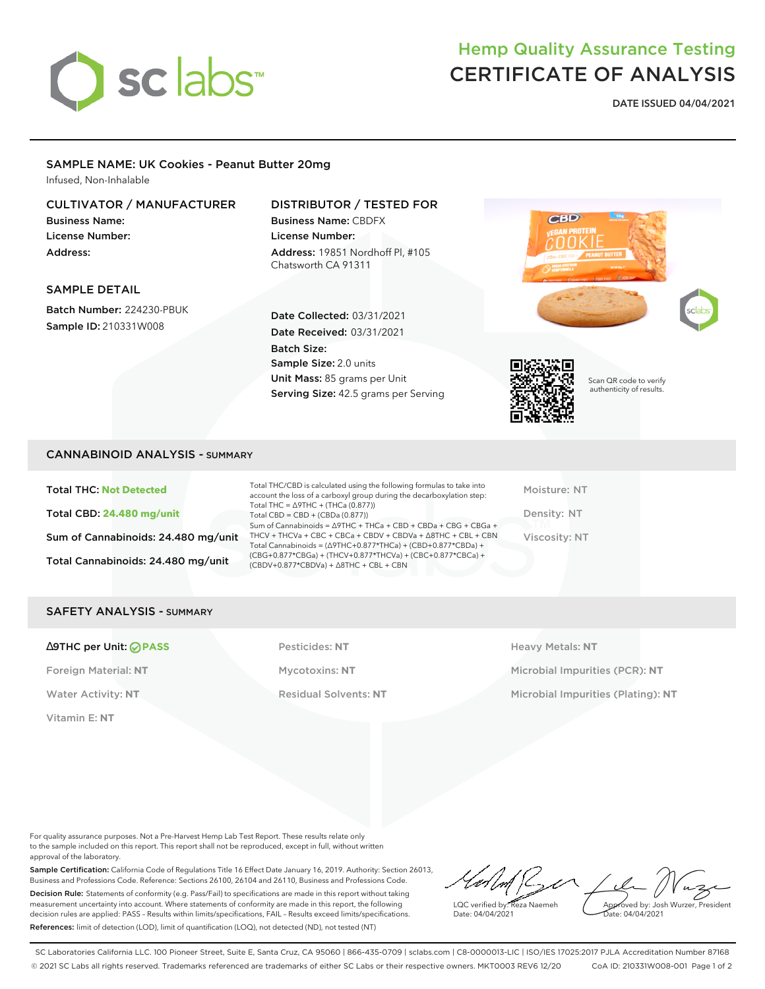

# Hemp Quality Assurance Testing CERTIFICATE OF ANALYSIS

**DATE ISSUED 04/04/2021**

## SAMPLE NAME: UK Cookies - Peanut Butter 20mg

Infused, Non-Inhalable

## CULTIVATOR / MANUFACTURER

Business Name: License Number: Address:

## DISTRIBUTOR / TESTED FOR

Business Name: CBDFX License Number: Address: 19851 Nordhoff Pl, #105 Chatsworth CA 91311

## SAMPLE DETAIL

Batch Number: 224230-PBUK Sample ID: 210331W008

## Date Collected: 03/31/2021 Date Received: 03/31/2021 Batch Size: Sample Size: 2.0 units Unit Mass: 85 grams per Unit Serving Size: 42.5 grams per Serving





Scan QR code to verify authenticity of results.

## CANNABINOID ANALYSIS - SUMMARY

Total THC: **Not Detected** Total CBD: **24.480 mg/unit** Sum of Cannabinoids: 24.480 mg/unit Total Cannabinoids: 24.480 mg/unit

Total THC/CBD is calculated using the following formulas to take into account the loss of a carboxyl group during the decarboxylation step: Total THC = ∆9THC + (THCa (0.877)) Total CBD = CBD + (CBDa (0.877)) Sum of Cannabinoids = ∆9THC + THCa + CBD + CBDa + CBG + CBGa + THCV + THCVa + CBC + CBCa + CBDV + CBDVa + ∆8THC + CBL + CBN Total Cannabinoids = (∆9THC+0.877\*THCa) + (CBD+0.877\*CBDa) + (CBG+0.877\*CBGa) + (THCV+0.877\*THCVa) + (CBC+0.877\*CBCa) + (CBDV+0.877\*CBDVa) + ∆8THC + CBL + CBN

Moisture: NT Density: NT Viscosity: NT

## SAFETY ANALYSIS - SUMMARY

#### ∆9THC per Unit: **PASS** Pesticides: **NT** Heavy Metals: **NT**

Vitamin E: **NT**

Foreign Material: **NT** Mycotoxins: **NT** Microbial Impurities (PCR): **NT** Water Activity: NT **Residual Solvents: NT** Microbial Impurities (Plating): NT

For quality assurance purposes. Not a Pre-Harvest Hemp Lab Test Report. These results relate only to the sample included on this report. This report shall not be reproduced, except in full, without written approval of the laboratory.

Sample Certification: California Code of Regulations Title 16 Effect Date January 16, 2019. Authority: Section 26013, Business and Professions Code. Reference: Sections 26100, 26104 and 26110, Business and Professions Code. Decision Rule: Statements of conformity (e.g. Pass/Fail) to specifications are made in this report without taking measurement uncertainty into account. Where statements of conformity are made in this report, the following decision rules are applied: PASS – Results within limits/specifications, FAIL – Results exceed limits/specifications. References: limit of detection (LOD), limit of quantification (LOQ), not detected (ND), not tested (NT)

LQC verified by: Reza Naemeh Date: 04/04/2021 Approved by: Josh Wurzer, President Date: 04/04/2021

SC Laboratories California LLC. 100 Pioneer Street, Suite E, Santa Cruz, CA 95060 | 866-435-0709 | sclabs.com | C8-0000013-LIC | ISO/IES 17025:2017 PJLA Accreditation Number 87168 © 2021 SC Labs all rights reserved. Trademarks referenced are trademarks of either SC Labs or their respective owners. MKT0003 REV6 12/20 CoA ID: 210331W008-001 Page 1 of 2